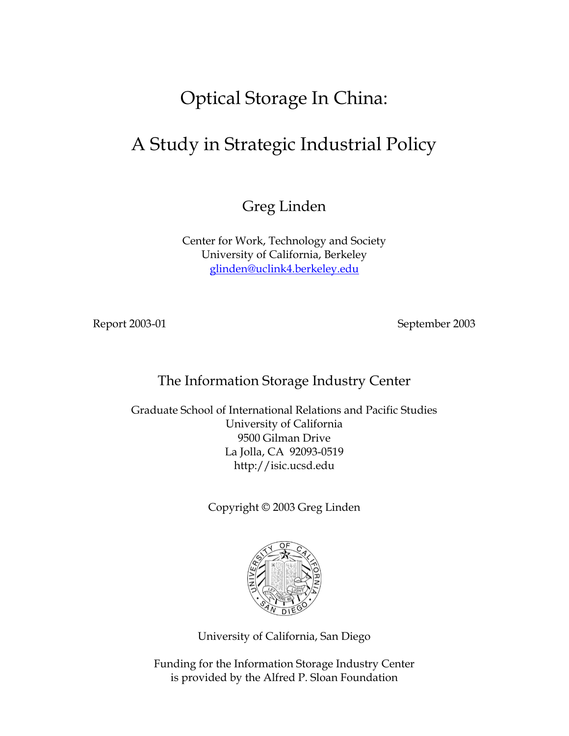# Optical Storage In China:

## A Study in Strategic Industrial Policy

Greg Linden

Center for Work, Technology and Society University of California, Berkeley glinden@uclink4.berkeley.edu

Report 2003-01 September 2003

#### The Information Storage Industry Center

Graduate School of International Relations and Pacific Studies University of California 9500 Gilman Drive La Jolla, CA 92093-0519 http://isic.ucsd.edu

Copyright © 2003 Greg Linden



University of California, San Diego

Funding for the Information Storage Industry Center is provided by the Alfred P. Sloan Foundation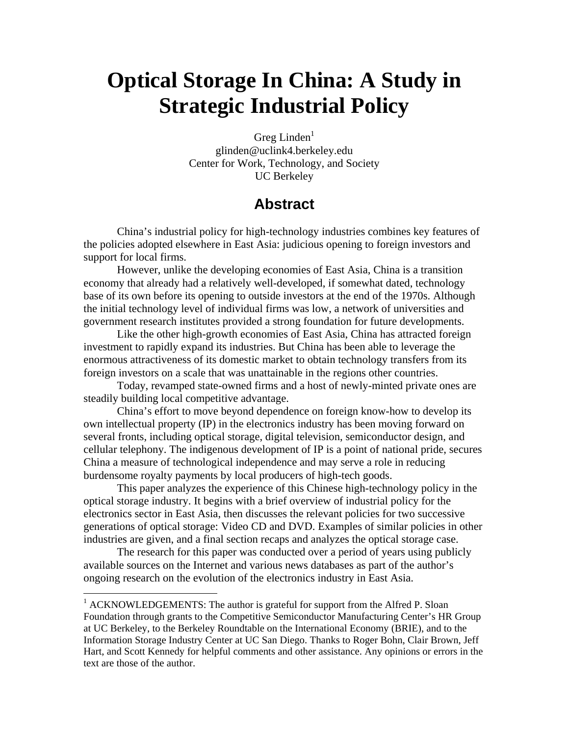# **Optical Storage In China: A Study in Strategic Industrial Policy**

Greg Linden $<sup>1</sup>$ </sup> glinden@uclink4.berkeley.edu Center for Work, Technology, and Society UC Berkeley

### **Abstract**

China's industrial policy for high-technology industries combines key features of the policies adopted elsewhere in East Asia: judicious opening to foreign investors and support for local firms.

However, unlike the developing economies of East Asia, China is a transition economy that already had a relatively well-developed, if somewhat dated, technology base of its own before its opening to outside investors at the end of the 1970s. Although the initial technology level of individual firms was low, a network of universities and government research institutes provided a strong foundation for future developments.

Like the other high-growth economies of East Asia, China has attracted foreign investment to rapidly expand its industries. But China has been able to leverage the enormous attractiveness of its domestic market to obtain technology transfers from its foreign investors on a scale that was unattainable in the regions other countries.

Today, revamped state-owned firms and a host of newly-minted private ones are steadily building local competitive advantage.

China's effort to move beyond dependence on foreign know-how to develop its own intellectual property (IP) in the electronics industry has been moving forward on several fronts, including optical storage, digital television, semiconductor design, and cellular telephony. The indigenous development of IP is a point of national pride, secures China a measure of technological independence and may serve a role in reducing burdensome royalty payments by local producers of high-tech goods.

This paper analyzes the experience of this Chinese high-technology policy in the optical storage industry. It begins with a brief overview of industrial policy for the electronics sector in East Asia, then discusses the relevant policies for two successive generations of optical storage: Video CD and DVD. Examples of similar policies in other industries are given, and a final section recaps and analyzes the optical storage case.

The research for this paper was conducted over a period of years using publicly available sources on the Internet and various news databases as part of the author's ongoing research on the evolution of the electronics industry in East Asia.

<sup>&</sup>lt;sup>1</sup> ACKNOWLEDGEMENTS: The author is grateful for support from the Alfred P. Sloan Foundation through grants to the Competitive Semiconductor Manufacturing Center's HR Group at UC Berkeley, to the Berkeley Roundtable on the International Economy (BRIE), and to the Information Storage Industry Center at UC San Diego. Thanks to Roger Bohn, Clair Brown, Jeff Hart, and Scott Kennedy for helpful comments and other assistance. Any opinions or errors in the text are those of the author.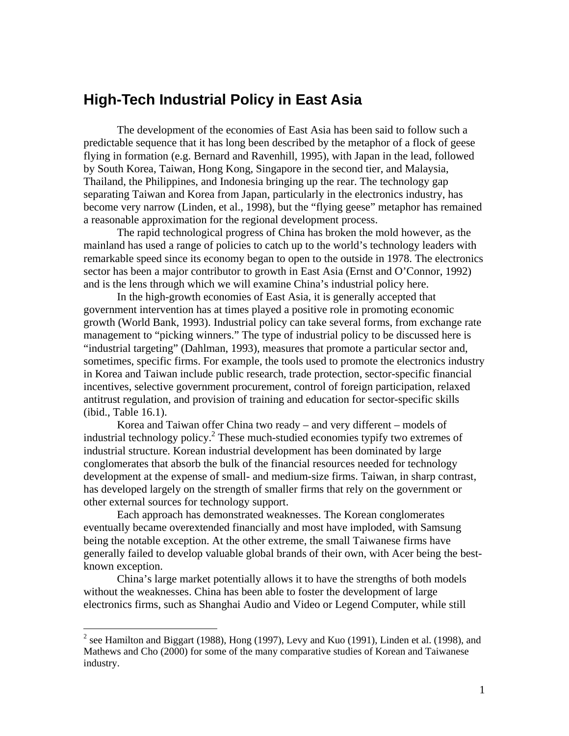### **High-Tech Industrial Policy in East Asia**

The development of the economies of East Asia has been said to follow such a predictable sequence that it has long been described by the metaphor of a flock of geese flying in formation (e.g. Bernard and Ravenhill, 1995), with Japan in the lead, followed by South Korea, Taiwan, Hong Kong, Singapore in the second tier, and Malaysia, Thailand, the Philippines, and Indonesia bringing up the rear. The technology gap separating Taiwan and Korea from Japan, particularly in the electronics industry, has become very narrow (Linden, et al., 1998), but the "flying geese" metaphor has remained a reasonable approximation for the regional development process.

The rapid technological progress of China has broken the mold however, as the mainland has used a range of policies to catch up to the world's technology leaders with remarkable speed since its economy began to open to the outside in 1978. The electronics sector has been a major contributor to growth in East Asia (Ernst and O'Connor, 1992) and is the lens through which we will examine China's industrial policy here.

In the high-growth economies of East Asia, it is generally accepted that government intervention has at times played a positive role in promoting economic growth (World Bank, 1993). Industrial policy can take several forms, from exchange rate management to "picking winners." The type of industrial policy to be discussed here is "industrial targeting" (Dahlman, 1993), measures that promote a particular sector and, sometimes, specific firms. For example, the tools used to promote the electronics industry in Korea and Taiwan include public research, trade protection, sector-specific financial incentives, selective government procurement, control of foreign participation, relaxed antitrust regulation, and provision of training and education for sector-specific skills (ibid., Table 16.1).

Korea and Taiwan offer China two ready – and very different – models of industrial technology policy.<sup>2</sup> These much-studied economies typify two extremes of industrial structure. Korean industrial development has been dominated by large conglomerates that absorb the bulk of the financial resources needed for technology development at the expense of small- and medium-size firms. Taiwan, in sharp contrast, has developed largely on the strength of smaller firms that rely on the government or other external sources for technology support.

Each approach has demonstrated weaknesses. The Korean conglomerates eventually became overextended financially and most have imploded, with Samsung being the notable exception. At the other extreme, the small Taiwanese firms have generally failed to develop valuable global brands of their own, with Acer being the bestknown exception.

China's large market potentially allows it to have the strengths of both models without the weaknesses. China has been able to foster the development of large electronics firms, such as Shanghai Audio and Video or Legend Computer, while still

<sup>&</sup>lt;sup>2</sup> see Hamilton and Biggart (1988), Hong (1997), Levy and Kuo (1991), Linden et al. (1998), and Mathews and Cho (2000) for some of the many comparative studies of Korean and Taiwanese industry.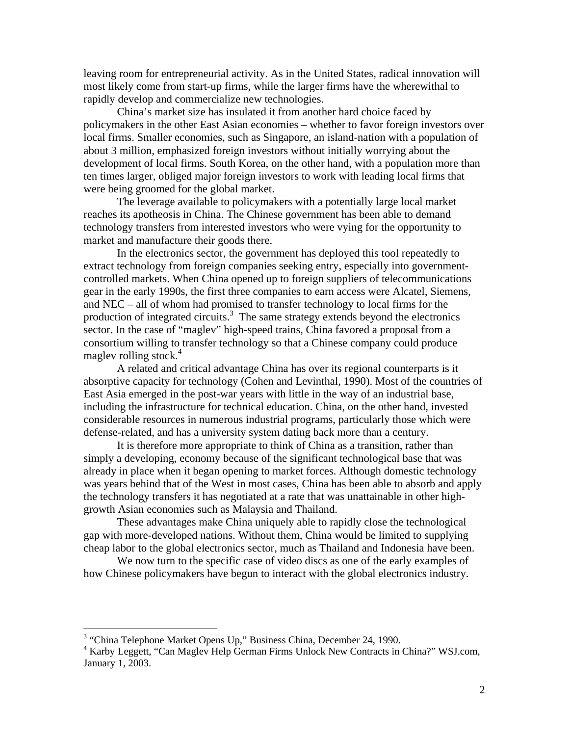leaving room for entrepreneurial activity. As in the United States, radical innovation will most likely come from start-up firms, while the larger firms have the wherewithal to rapidly develop and commercialize new technologies.

China's market size has insulated it from another hard choice faced by policymakers in the other East Asian economies – whether to favor foreign investors over local firms. Smaller economies, such as Singapore, an island-nation with a population of about 3 million, emphasized foreign investors without initially worrying about the development of local firms. South Korea, on the other hand, with a population more than ten times larger, obliged major foreign investors to work with leading local firms that were being groomed for the global market.

The leverage available to policymakers with a potentially large local market reaches its apotheosis in China. The Chinese government has been able to demand technology transfers from interested investors who were vying for the opportunity to market and manufacture their goods there.

In the electronics sector, the government has deployed this tool repeatedly to extract technology from foreign companies seeking entry, especially into governmentcontrolled markets. When China opened up to foreign suppliers of telecommunications gear in the early 1990s, the first three companies to earn access were Alcatel, Siemens, and NEC – all of whom had promised to transfer technology to local firms for the production of integrated circuits.<sup>3</sup> The same strategy extends beyond the electronics sector. In the case of "maglev" high-speed trains, China favored a proposal from a consortium willing to transfer technology so that a Chinese company could produce maglev rolling stock. $4$ 

A related and critical advantage China has over its regional counterparts is it absorptive capacity for technology (Cohen and Levinthal, 1990). Most of the countries of East Asia emerged in the post-war years with little in the way of an industrial base, including the infrastructure for technical education. China, on the other hand, invested considerable resources in numerous industrial programs, particularly those which were defense-related, and has a university system dating back more than a century.

It is therefore more appropriate to think of China as a transition, rather than simply a developing, economy because of the significant technological base that was already in place when it began opening to market forces. Although domestic technology was years behind that of the West in most cases, China has been able to absorb and apply the technology transfers it has negotiated at a rate that was unattainable in other highgrowth Asian economies such as Malaysia and Thailand.

These advantages make China uniquely able to rapidly close the technological gap with more-developed nations. Without them, China would be limited to supplying cheap labor to the global electronics sector, much as Thailand and Indonesia have been.

We now turn to the specific case of video discs as one of the early examples of how Chinese policymakers have begun to interact with the global electronics industry.

<sup>&</sup>lt;sup>3</sup> "China Telephone Market Opens Up," Business China, December 24, 1990.

<sup>&</sup>lt;sup>4</sup> Karby Leggett, "Can Maglev Help German Firms Unlock New Contracts in China?" WSJ.com, January 1, 2003.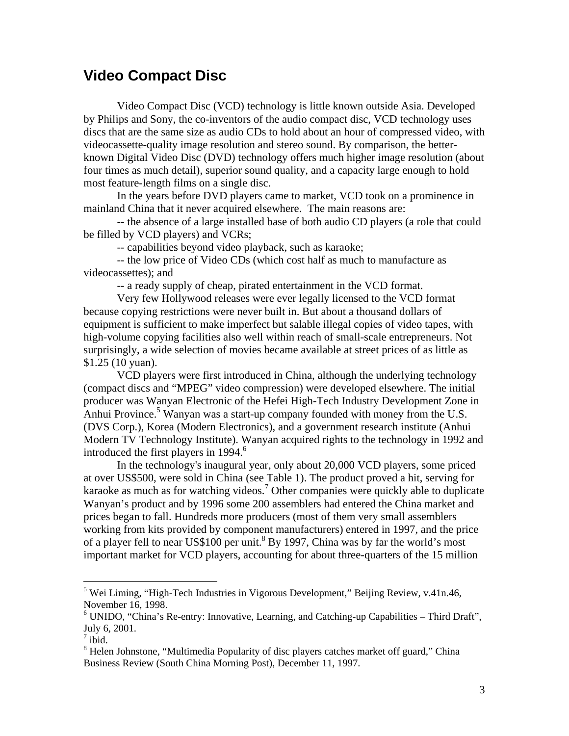### **Video Compact Disc**

Video Compact Disc (VCD) technology is little known outside Asia. Developed by Philips and Sony, the co-inventors of the audio compact disc, VCD technology uses discs that are the same size as audio CDs to hold about an hour of compressed video, with videocassette-quality image resolution and stereo sound. By comparison, the betterknown Digital Video Disc (DVD) technology offers much higher image resolution (about four times as much detail), superior sound quality, and a capacity large enough to hold most feature-length films on a single disc.

In the years before DVD players came to market, VCD took on a prominence in mainland China that it never acquired elsewhere. The main reasons are:

-- the absence of a large installed base of both audio CD players (a role that could be filled by VCD players) and VCRs;

-- capabilities beyond video playback, such as karaoke;

-- the low price of Video CDs (which cost half as much to manufacture as videocassettes); and

-- a ready supply of cheap, pirated entertainment in the VCD format.

Very few Hollywood releases were ever legally licensed to the VCD format because copying restrictions were never built in. But about a thousand dollars of equipment is sufficient to make imperfect but salable illegal copies of video tapes, with high-volume copying facilities also well within reach of small-scale entrepreneurs. Not surprisingly, a wide selection of movies became available at street prices of as little as \$1.25 (10 yuan).

VCD players were first introduced in China, although the underlying technology (compact discs and "MPEG" video compression) were developed elsewhere. The initial producer was Wanyan Electronic of the Hefei High-Tech Industry Development Zone in Anhui Province.<sup>5</sup> Wanyan was a start-up company founded with money from the U.S. (DVS Corp.), Korea (Modern Electronics), and a government research institute (Anhui Modern TV Technology Institute). Wanyan acquired rights to the technology in 1992 and introduced the first players in 1994.<sup>6</sup>

In the technology's inaugural year, only about 20,000 VCD players, some priced at over US\$500, were sold in China (see Table 1). The product proved a hit, serving for karaoke as much as for watching videos.<sup>7</sup> Other companies were quickly able to duplicate Wanyan's product and by 1996 some 200 assemblers had entered the China market and prices began to fall. Hundreds more producers (most of them very small assemblers working from kits provided by component manufacturers) entered in 1997, and the price of a player fell to near US\$100 per unit.<sup>8</sup> By 1997, China was by far the world's most important market for VCD players, accounting for about three-quarters of the 15 million

<sup>&</sup>lt;sup>5</sup> Wei Liming, "High-Tech Industries in Vigorous Development," Beijing Review, v.41n.46, November 16, 1998.

<sup>&</sup>lt;sup>6</sup> UNIDO, "China's Re-entry: Innovative, Learning, and Catching-up Capabilities - Third Draft", July 6, 2001.

 $\overline{7}$  ibid.

<sup>&</sup>lt;sup>8</sup> Helen Johnstone, "Multimedia Popularity of disc players catches market off guard," China Business Review (South China Morning Post), December 11, 1997.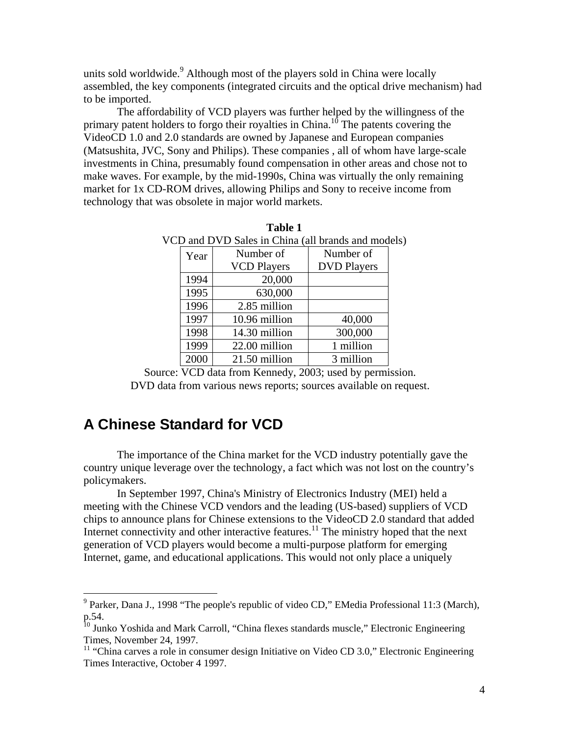units sold worldwide.<sup>9</sup> Although most of the players sold in China were locally assembled, the key components (integrated circuits and the optical drive mechanism) had to be imported.

The affordability of VCD players was further helped by the willingness of the primary patent holders to forgo their royalties in China.<sup>10</sup> The patents covering the VideoCD 1.0 and 2.0 standards are owned by Japanese and European companies (Matsushita, JVC, Sony and Philips). These companies , all of whom have large-scale investments in China, presumably found compensation in other areas and chose not to make waves. For example, by the mid-1990s, China was virtually the only remaining market for 1x CD-ROM drives, allowing Philips and Sony to receive income from technology that was obsolete in major world markets.

| $\overline{D}$ and $\overline{D}$ v $\overline{D}$ saics in China (an brands and mod |                    |                    |
|--------------------------------------------------------------------------------------|--------------------|--------------------|
| Year                                                                                 | Number of          | Number of          |
|                                                                                      | <b>VCD Players</b> | <b>DVD Players</b> |
| 1994                                                                                 | 20,000             |                    |
| 1995                                                                                 | 630,000            |                    |
| 1996                                                                                 | 2.85 million       |                    |
| 1997                                                                                 | 10.96 million      | 40,000             |
| 1998                                                                                 | 14.30 million      | 300,000            |
| 1999                                                                                 | 22.00 million      | 1 million          |
| 2000                                                                                 | 21.50 million      | 3 million          |
|                                                                                      |                    |                    |

**Table 1**  VCD and DVD Sales in China (all brands and models)

Source: VCD data from Kennedy, 2003; used by permission. DVD data from various news reports; sources available on request.

### **A Chinese Standard for VCD**

 $\overline{a}$ 

The importance of the China market for the VCD industry potentially gave the country unique leverage over the technology, a fact which was not lost on the country's policymakers.

In September 1997, China's Ministry of Electronics Industry (MEI) held a meeting with the Chinese VCD vendors and the leading (US-based) suppliers of VCD chips to announce plans for Chinese extensions to the VideoCD 2.0 standard that added Internet connectivity and other interactive features. $11$  The ministry hoped that the next generation of VCD players would become a multi-purpose platform for emerging Internet, game, and educational applications. This would not only place a uniquely

<sup>&</sup>lt;sup>9</sup> Parker, Dana J., 1998 "The people's republic of video CD," EMedia Professional 11:3 (March), p.54.

<sup>&</sup>lt;sup>10</sup> Junko Yoshida and Mark Carroll, "China flexes standards muscle," Electronic Engineering Times, November 24, 1997.<br><sup>11</sup> "China carves a role in consumer design Initiative on Video CD 3.0," Electronic Engineering

Times Interactive, October 4 1997.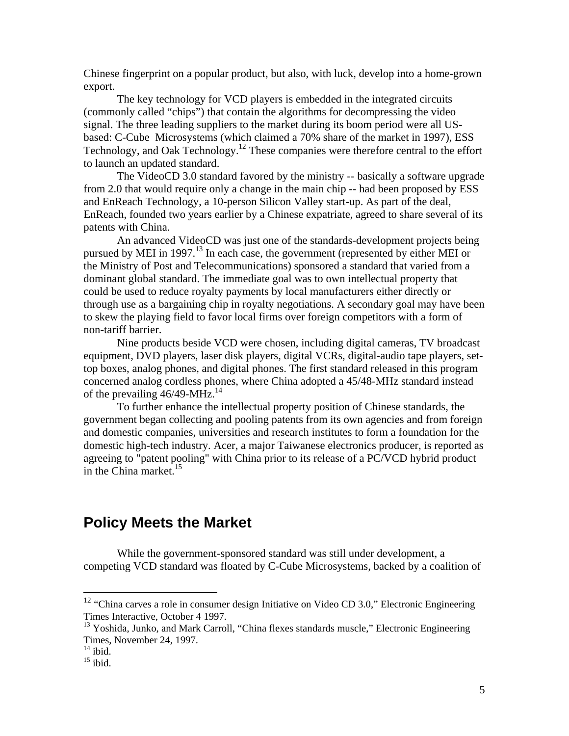Chinese fingerprint on a popular product, but also, with luck, develop into a home-grown export.

The key technology for VCD players is embedded in the integrated circuits (commonly called "chips") that contain the algorithms for decompressing the video signal. The three leading suppliers to the market during its boom period were all USbased: C-Cube Microsystems (which claimed a 70% share of the market in 1997), ESS Technology, and Oak Technology.12 These companies were therefore central to the effort to launch an updated standard.

The VideoCD 3.0 standard favored by the ministry -- basically a software upgrade from 2.0 that would require only a change in the main chip -- had been proposed by ESS and EnReach Technology, a 10-person Silicon Valley start-up. As part of the deal, EnReach, founded two years earlier by a Chinese expatriate, agreed to share several of its patents with China.

An advanced VideoCD was just one of the standards-development projects being pursued by MEI in  $1997$ <sup> $13$ </sup> In each case, the government (represented by either MEI or the Ministry of Post and Telecommunications) sponsored a standard that varied from a dominant global standard. The immediate goal was to own intellectual property that could be used to reduce royalty payments by local manufacturers either directly or through use as a bargaining chip in royalty negotiations. A secondary goal may have been to skew the playing field to favor local firms over foreign competitors with a form of non-tariff barrier.

Nine products beside VCD were chosen, including digital cameras, TV broadcast equipment, DVD players, laser disk players, digital VCRs, digital-audio tape players, settop boxes, analog phones, and digital phones. The first standard released in this program concerned analog cordless phones, where China adopted a 45/48-MHz standard instead of the prevailing  $46/49$ -MHz.<sup>14</sup>

To further enhance the intellectual property position of Chinese standards, the government began collecting and pooling patents from its own agencies and from foreign and domestic companies, universities and research institutes to form a foundation for the domestic high-tech industry. Acer, a major Taiwanese electronics producer, is reported as agreeing to "patent pooling" with China prior to its release of a PC/VCD hybrid product in the China market. $15$ 

### **Policy Meets the Market**

While the government-sponsored standard was still under development, a competing VCD standard was floated by C-Cube Microsystems, backed by a coalition of

 $12$  "China carves a role in consumer design Initiative on Video CD 3.0," Electronic Engineering Times Interactive, October 4 1997.

<sup>&</sup>lt;sup>13</sup> Yoshida, Junko, and Mark Carroll, "China flexes standards muscle," Electronic Engineering Times, November 24, 1997.

 $\frac{14}{15}$  ibid.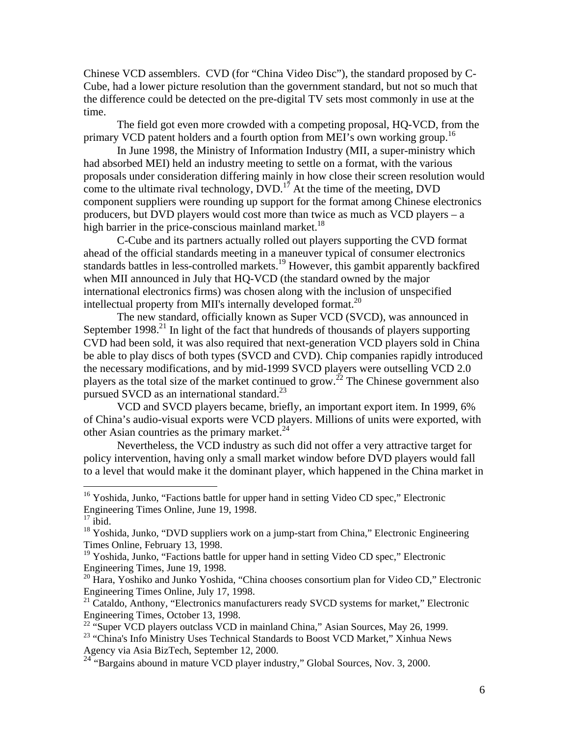Chinese VCD assemblers. CVD (for "China Video Disc"), the standard proposed by C-Cube, had a lower picture resolution than the government standard, but not so much that the difference could be detected on the pre-digital TV sets most commonly in use at the time.

The field got even more crowded with a competing proposal, HQ-VCD, from the primary VCD patent holders and a fourth option from MEI's own working group.<sup>16</sup>

In June 1998, the Ministry of Information Industry (MII, a super-ministry which had absorbed MEI) held an industry meeting to settle on a format, with the various proposals under consideration differing mainly in how close their screen resolution would come to the ultimate rival technology,  $\overline{DVD}$ .<sup>17</sup> At the time of the meeting,  $DVD$ component suppliers were rounding up support for the format among Chinese electronics producers, but DVD players would cost more than twice as much as VCD players – a high barrier in the price-conscious mainland market.<sup>18</sup>

C-Cube and its partners actually rolled out players supporting the CVD format ahead of the official standards meeting in a maneuver typical of consumer electronics standards battles in less-controlled markets.<sup>19</sup> However, this gambit apparently backfired when MII announced in July that HQ-VCD (the standard owned by the major international electronics firms) was chosen along with the inclusion of unspecified intellectual property from MII's internally developed format.<sup>20</sup>

The new standard, officially known as Super VCD (SVCD), was announced in September  $1998<sup>21</sup>$  In light of the fact that hundreds of thousands of players supporting CVD had been sold, it was also required that next-generation VCD players sold in China be able to play discs of both types (SVCD and CVD). Chip companies rapidly introduced the necessary modifications, and by mid-1999 SVCD players were outselling VCD 2.0 players as the total size of the market continued to grow.<sup>22</sup> The Chinese government also pursued SVCD as an international standard.<sup>23</sup>

VCD and SVCD players became, briefly, an important export item. In 1999, 6% of China's audio-visual exports were VCD players. Millions of units were exported, with other Asian countries as the primary market.<sup>24</sup>

Nevertheless, the VCD industry as such did not offer a very attractive target for policy intervention, having only a small market window before DVD players would fall to a level that would make it the dominant player, which happened in the China market in

<sup>&</sup>lt;sup>16</sup> Yoshida, Junko, "Factions battle for upper hand in setting Video CD spec," Electronic Engineering Times Online, June 19, 1998.

 $17$  ibid.

<sup>&</sup>lt;sup>18</sup> Yoshida, Junko, "DVD suppliers work on a jump-start from China," Electronic Engineering Times Online, February 13, 1998.

 $19$  Yoshida, Junko, "Factions battle for upper hand in setting Video CD spec," Electronic Engineering Times, June 19, 1998.

 $^{20}$  Hara, Yoshiko and Junko Yoshida, "China chooses consortium plan for Video CD," Electronic Engineering Times Online, July 17, 1998.

<sup>&</sup>lt;sup>21</sup> Cataldo, Anthony, "Electronics manufacturers ready SVCD systems for market," Electronic Engineering Times, October 13, 1998.

 $22$  "Super VCD players outclass VCD in mainland China," Asian Sources, May 26, 1999.

<sup>&</sup>lt;sup>23</sup> "China's Info Ministry Uses Technical Standards to Boost VCD Market," Xinhua News Agency via Asia BizTech, September 12, 2000.

<sup>&</sup>lt;sup>24</sup> "Bargains abound in mature VCD player industry," Global Sources, Nov. 3, 2000.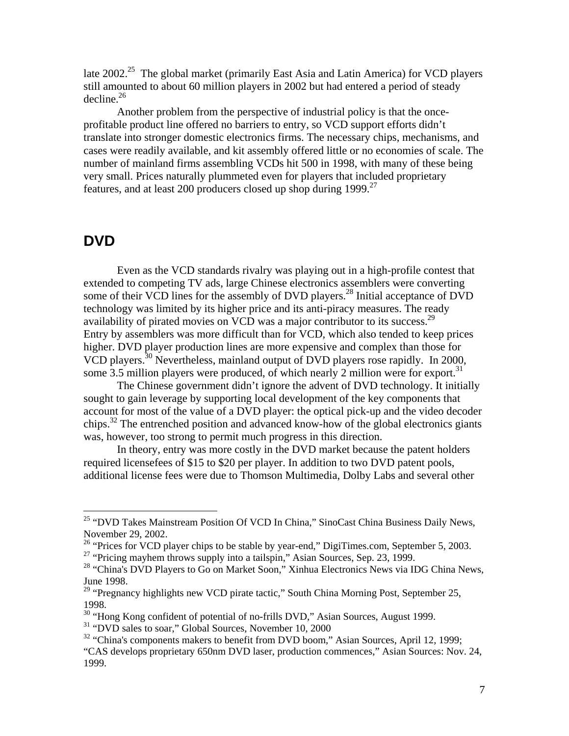late 2002<sup>25</sup> The global market (primarily East Asia and Latin America) for VCD players still amounted to about 60 million players in 2002 but had entered a period of steady decline. $^{26}$ 

Another problem from the perspective of industrial policy is that the onceprofitable product line offered no barriers to entry, so VCD support efforts didn't translate into stronger domestic electronics firms. The necessary chips, mechanisms, and cases were readily available, and kit assembly offered little or no economies of scale. The number of mainland firms assembling VCDs hit 500 in 1998, with many of these being very small. Prices naturally plummeted even for players that included proprietary features, and at least 200 producers closed up shop during  $1999$ <sup>27</sup>

### **DVD**

 $\overline{a}$ 

Even as the VCD standards rivalry was playing out in a high-profile contest that extended to competing TV ads, large Chinese electronics assemblers were converting some of their VCD lines for the assembly of DVD players.<sup>28</sup> Initial acceptance of DVD technology was limited by its higher price and its anti-piracy measures. The ready availability of pirated movies on VCD was a major contributor to its success.<sup>29</sup> Entry by assemblers was more difficult than for VCD, which also tended to keep prices higher. DVD player production lines are more expensive and complex than those for VCD players.30 Nevertheless, mainland output of DVD players rose rapidly. In 2000, some 3.5 million players were produced, of which nearly 2 million were for export.<sup>31</sup>

The Chinese government didn't ignore the advent of DVD technology. It initially sought to gain leverage by supporting local development of the key components that account for most of the value of a DVD player: the optical pick-up and the video decoder chips.<sup>32</sup> The entrenched position and advanced know-how of the global electronics giants was, however, too strong to permit much progress in this direction.

In theory, entry was more costly in the DVD market because the patent holders required licensefees of \$15 to \$20 per player. In addition to two DVD patent pools, additional license fees were due to Thomson Multimedia, Dolby Labs and several other

<sup>&</sup>lt;sup>25</sup> "DVD Takes Mainstream Position Of VCD In China," SinoCast China Business Daily News, November 29, 2002.

<sup>&</sup>lt;sup>26</sup> "Prices for VCD player chips to be stable by year-end," DigiTimes.com, September 5, 2003.

<sup>&</sup>lt;sup>27</sup> "Pricing mayhem throws supply into a tailspin," Asian Sources, Sep. 23, 1999.

<sup>&</sup>lt;sup>28</sup> "China's DVD Players to Go on Market Soon," Xinhua Electronics News via IDG China News, June 1998.<br><sup>29</sup> "Pregnancy highlights new VCD pirate tactic," South China Morning Post, September 25,

<sup>1998. 30 &</sup>quot;Hong Kong confident of potential of no-frills DVD," Asian Sources, August 1999.

<sup>&</sup>lt;sup>31</sup> "DVD sales to soar," Global Sources, November 10, 2000

<sup>&</sup>lt;sup>32</sup> "China's components makers to benefit from DVD boom," Asian Sources, April 12, 1999;

<sup>&</sup>quot;CAS develops proprietary 650nm DVD laser, production commences," Asian Sources: Nov. 24, 1999.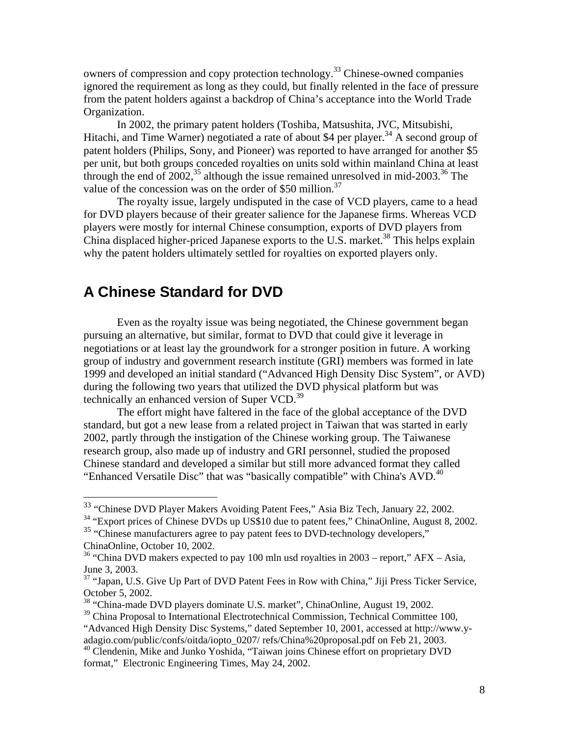owners of compression and copy protection technology.<sup>33</sup> Chinese-owned companies ignored the requirement as long as they could, but finally relented in the face of pressure from the patent holders against a backdrop of China's acceptance into the World Trade Organization.

In 2002, the primary patent holders (Toshiba, Matsushita, JVC, Mitsubishi, Hitachi, and Time Warner) negotiated a rate of about \$4 per player.<sup>34</sup> A second group of patent holders (Philips, Sony, and Pioneer) was reported to have arranged for another \$5 per unit, but both groups conceded royalties on units sold within mainland China at least through the end of 2002,<sup>35</sup> although the issue remained unresolved in mid-2003.<sup>36</sup> The value of the concession was on the order of \$50 million.<sup>37</sup>

The royalty issue, largely undisputed in the case of VCD players, came to a head for DVD players because of their greater salience for the Japanese firms. Whereas VCD players were mostly for internal Chinese consumption, exports of DVD players from China displaced higher-priced Japanese exports to the U.S. market.<sup>38</sup> This helps explain why the patent holders ultimately settled for royalties on exported players only.

### **A Chinese Standard for DVD**

 $\overline{a}$ 

Even as the royalty issue was being negotiated, the Chinese government began pursuing an alternative, but similar, format to DVD that could give it leverage in negotiations or at least lay the groundwork for a stronger position in future. A working group of industry and government research institute (GRI) members was formed in late 1999 and developed an initial standard ("Advanced High Density Disc System", or AVD) during the following two years that utilized the DVD physical platform but was technically an enhanced version of Super VCD.<sup>39</sup>

The effort might have faltered in the face of the global acceptance of the DVD standard, but got a new lease from a related project in Taiwan that was started in early 2002, partly through the instigation of the Chinese working group. The Taiwanese research group, also made up of industry and GRI personnel, studied the proposed Chinese standard and developed a similar but still more advanced format they called "Enhanced Versatile Disc" that was "basically compatible" with China's AVD.<sup>40</sup>

<sup>&</sup>lt;sup>33</sup> "Chinese DVD Player Makers Avoiding Patent Fees," Asia Biz Tech, January 22, 2002.

<sup>&</sup>lt;sup>34</sup> "Export prices of Chinese DVDs up US\$10 due to patent fees," ChinaOnline, August 8, 2002.

<sup>&</sup>lt;sup>35</sup> "Chinese manufacturers agree to pay patent fees to DVD-technology developers,"

ChinaOnline, October 10, 2002.<br><sup>36</sup> "China DVD makers expected to pay 100 mln usd royalties in 2003 – report," AFX – Asia, June 3, 2003.

<sup>&</sup>lt;sup>37</sup> "Japan, U.S. Give Up Part of DVD Patent Fees in Row with China," Jiji Press Ticker Service, October 5, 2002.

<sup>38 &</sup>quot;China-made DVD players dominate U.S. market", ChinaOnline, August 19, 2002.

 $39$  China Proposal to International Electrotechnical Commission, Technical Committee 100, "Advanced High Density Disc Systems," dated September 10, 2001, accessed at http://www.yadagio.com/public/confs/oitda/iopto\_0207/ refs/China%20proposal.pdf on Feb 21, 2003.

<sup>&</sup>lt;sup>40</sup> Clendenin, Mike and Junko Yoshida, "Taiwan joins Chinese effort on proprietary DVD format," Electronic Engineering Times, May 24, 2002.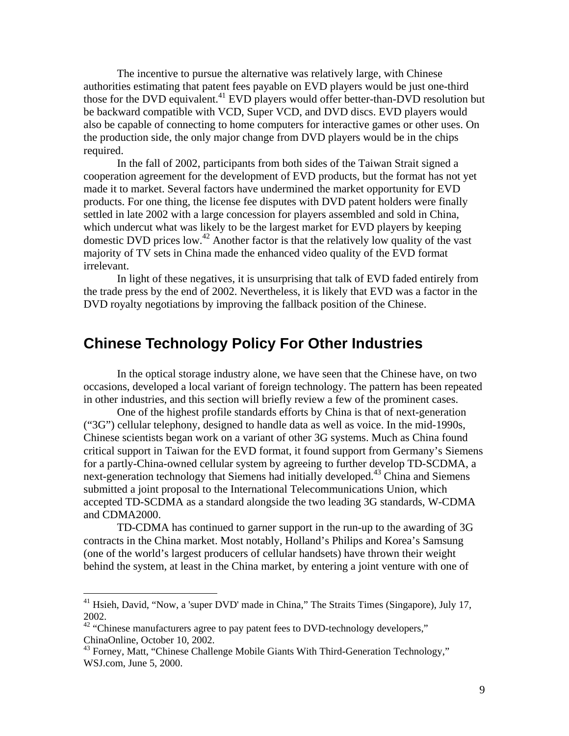The incentive to pursue the alternative was relatively large, with Chinese authorities estimating that patent fees payable on EVD players would be just one-third those for the DVD equivalent.<sup>41</sup> EVD players would offer better-than-DVD resolution but be backward compatible with VCD, Super VCD, and DVD discs. EVD players would also be capable of connecting to home computers for interactive games or other uses. On the production side, the only major change from DVD players would be in the chips required.

In the fall of 2002, participants from both sides of the Taiwan Strait signed a cooperation agreement for the development of EVD products, but the format has not yet made it to market. Several factors have undermined the market opportunity for EVD products. For one thing, the license fee disputes with DVD patent holders were finally settled in late 2002 with a large concession for players assembled and sold in China, which undercut what was likely to be the largest market for EVD players by keeping domestic DVD prices low.42 Another factor is that the relatively low quality of the vast majority of TV sets in China made the enhanced video quality of the EVD format irrelevant.

In light of these negatives, it is unsurprising that talk of EVD faded entirely from the trade press by the end of 2002. Nevertheless, it is likely that EVD was a factor in the DVD royalty negotiations by improving the fallback position of the Chinese.

### **Chinese Technology Policy For Other Industries**

In the optical storage industry alone, we have seen that the Chinese have, on two occasions, developed a local variant of foreign technology. The pattern has been repeated in other industries, and this section will briefly review a few of the prominent cases.

One of the highest profile standards efforts by China is that of next-generation ("3G") cellular telephony, designed to handle data as well as voice. In the mid-1990s, Chinese scientists began work on a variant of other 3G systems. Much as China found critical support in Taiwan for the EVD format, it found support from Germany's Siemens for a partly-China-owned cellular system by agreeing to further develop TD-SCDMA, a next-generation technology that Siemens had initially developed.43 China and Siemens submitted a joint proposal to the International Telecommunications Union, which accepted TD-SCDMA as a standard alongside the two leading 3G standards, W-CDMA and CDMA2000.

TD-CDMA has continued to garner support in the run-up to the awarding of 3G contracts in the China market. Most notably, Holland's Philips and Korea's Samsung (one of the world's largest producers of cellular handsets) have thrown their weight behind the system, at least in the China market, by entering a joint venture with one of

 $41$  Hsieh, David, "Now, a 'super DVD' made in China," The Straits Times (Singapore), July 17,

<sup>2002. 42 &</sup>quot;Chinese manufacturers agree to pay patent fees to DVD-technology developers," ChinaOnline, October 10, 2002.<br><sup>43</sup> Forney, Matt, "Chinese Challenge Mobile Giants With Third-Generation Technology,"

WSJ.com, June 5, 2000.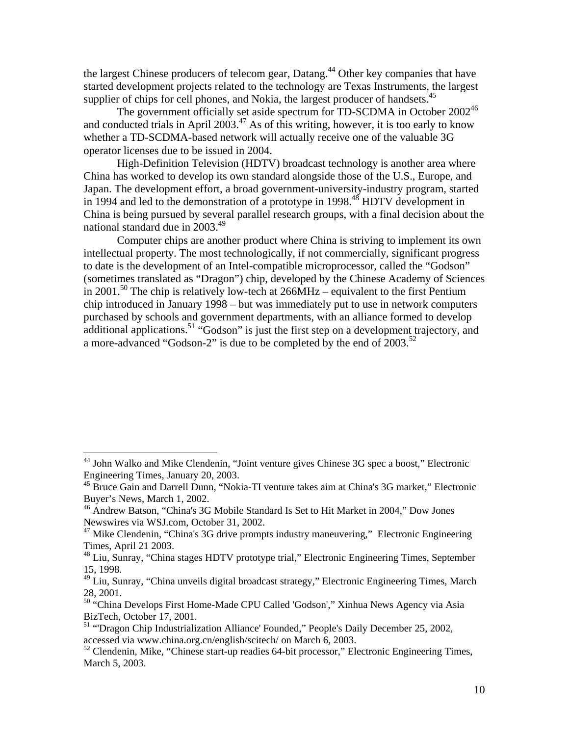the largest Chinese producers of telecom gear, Datang.<sup>44</sup> Other key companies that have started development projects related to the technology are Texas Instruments, the largest supplier of chips for cell phones, and Nokia, the largest producer of handsets.<sup>45</sup>

The government officially set aside spectrum for TD-SCDMA in October  $2002^{46}$ and conducted trials in April 2003.<sup>47</sup> As of this writing, however, it is too early to know whether a TD-SCDMA-based network will actually receive one of the valuable 3G operator licenses due to be issued in 2004.

High-Definition Television (HDTV) broadcast technology is another area where China has worked to develop its own standard alongside those of the U.S., Europe, and Japan. The development effort, a broad government-university-industry program, started in 1994 and led to the demonstration of a prototype in 1998.<sup>48</sup> HDTV development in China is being pursued by several parallel research groups, with a final decision about the national standard due in  $2003.<sup>49</sup>$ 

Computer chips are another product where China is striving to implement its own intellectual property. The most technologically, if not commercially, significant progress to date is the development of an Intel-compatible microprocessor, called the "Godson" (sometimes translated as "Dragon") chip, developed by the Chinese Academy of Sciences in 2001.<sup>50</sup> The chip is relatively low-tech at 266MHz – equivalent to the first Pentium chip introduced in January 1998 – but was immediately put to use in network computers purchased by schools and government departments, with an alliance formed to develop additional applications.<sup>51</sup> "Godson" is just the first step on a development trajectory, and a more-advanced "Godson-2" is due to be completed by the end of  $2003$ <sup>52</sup>

<sup>&</sup>lt;sup>44</sup> John Walko and Mike Clendenin, "Joint venture gives Chinese 3G spec a boost," Electronic Engineering Times, January 20, 2003.

<sup>&</sup>lt;sup>45</sup> Bruce Gain and Darrell Dunn, "Nokia-TI venture takes aim at China's 3G market," Electronic Buyer's News, March 1, 2002.

<sup>46</sup> Andrew Batson, "China's 3G Mobile Standard Is Set to Hit Market in 2004," Dow Jones Newswires via WSJ.com, October 31, 2002.

<sup>&</sup>lt;sup>47</sup> Mike Clendenin, "China's 3G drive prompts industry maneuvering," Electronic Engineering Times, April 21 2003.

<sup>48</sup> Liu, Sunray, "China stages HDTV prototype trial," Electronic Engineering Times, September 15, 1998.<br><sup>49</sup> Liu, Sunray, "China unveils digital broadcast strategy," Electronic Engineering Times, March

<sup>28, 2001. 50 &</sup>quot;China Develops First Home-Made CPU Called 'Godson'," Xinhua News Agency via Asia

BizTech, October 17, 2001.<br><sup>51</sup> "Dragon Chip Industrialization Alliance' Founded," People's Daily December 25, 2002,

accessed via www.china.org.cn/english/scitech/ on March 6, 2003.

<sup>&</sup>lt;sup>52</sup> Clendenin, Mike, "Chinese start-up readies 64-bit processor," Electronic Engineering Times, March 5, 2003.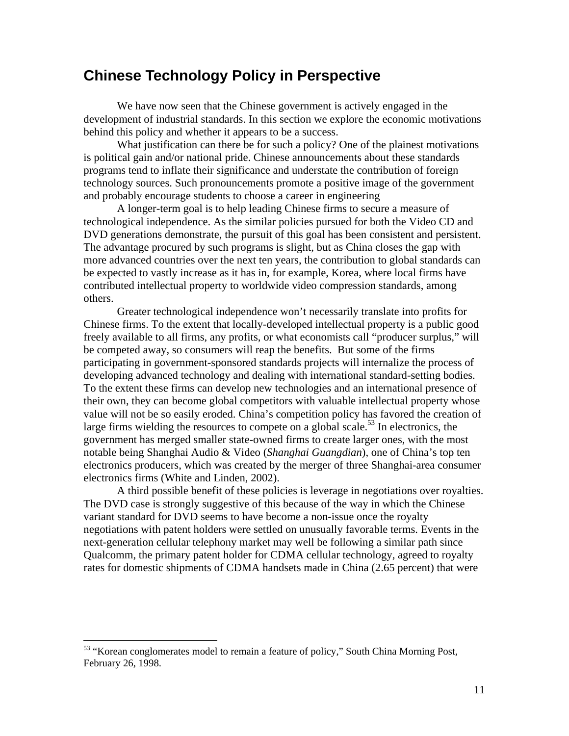### **Chinese Technology Policy in Perspective**

We have now seen that the Chinese government is actively engaged in the development of industrial standards. In this section we explore the economic motivations behind this policy and whether it appears to be a success.

What justification can there be for such a policy? One of the plainest motivations is political gain and/or national pride. Chinese announcements about these standards programs tend to inflate their significance and understate the contribution of foreign technology sources. Such pronouncements promote a positive image of the government and probably encourage students to choose a career in engineering

A longer-term goal is to help leading Chinese firms to secure a measure of technological independence. As the similar policies pursued for both the Video CD and DVD generations demonstrate, the pursuit of this goal has been consistent and persistent. The advantage procured by such programs is slight, but as China closes the gap with more advanced countries over the next ten years, the contribution to global standards can be expected to vastly increase as it has in, for example, Korea, where local firms have contributed intellectual property to worldwide video compression standards, among others.

Greater technological independence won't necessarily translate into profits for Chinese firms. To the extent that locally-developed intellectual property is a public good freely available to all firms, any profits, or what economists call "producer surplus," will be competed away, so consumers will reap the benefits. But some of the firms participating in government-sponsored standards projects will internalize the process of developing advanced technology and dealing with international standard-setting bodies. To the extent these firms can develop new technologies and an international presence of their own, they can become global competitors with valuable intellectual property whose value will not be so easily eroded. China's competition policy has favored the creation of large firms wielding the resources to compete on a global scale.<sup>53</sup> In electronics, the government has merged smaller state-owned firms to create larger ones, with the most notable being Shanghai Audio & Video (*Shanghai Guangdian*), one of China's top ten electronics producers, which was created by the merger of three Shanghai-area consumer electronics firms (White and Linden, 2002).

A third possible benefit of these policies is leverage in negotiations over royalties. The DVD case is strongly suggestive of this because of the way in which the Chinese variant standard for DVD seems to have become a non-issue once the royalty negotiations with patent holders were settled on unusually favorable terms. Events in the next-generation cellular telephony market may well be following a similar path since Qualcomm, the primary patent holder for CDMA cellular technology, agreed to royalty rates for domestic shipments of CDMA handsets made in China (2.65 percent) that were

<sup>&</sup>lt;sup>53</sup> "Korean conglomerates model to remain a feature of policy," South China Morning Post, February 26, 1998.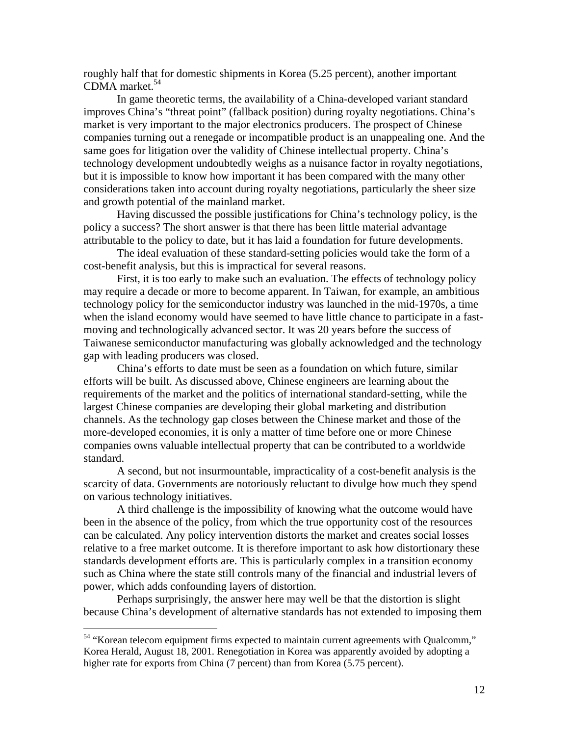roughly half that for domestic shipments in Korea (5.25 percent), another important CDMA market.<sup>54</sup>

In game theoretic terms, the availability of a China-developed variant standard improves China's "threat point" (fallback position) during royalty negotiations. China's market is very important to the major electronics producers. The prospect of Chinese companies turning out a renegade or incompatible product is an unappealing one. And the same goes for litigation over the validity of Chinese intellectual property. China's technology development undoubtedly weighs as a nuisance factor in royalty negotiations, but it is impossible to know how important it has been compared with the many other considerations taken into account during royalty negotiations, particularly the sheer size and growth potential of the mainland market.

Having discussed the possible justifications for China's technology policy, is the policy a success? The short answer is that there has been little material advantage attributable to the policy to date, but it has laid a foundation for future developments.

The ideal evaluation of these standard-setting policies would take the form of a cost-benefit analysis, but this is impractical for several reasons.

First, it is too early to make such an evaluation. The effects of technology policy may require a decade or more to become apparent. In Taiwan, for example, an ambitious technology policy for the semiconductor industry was launched in the mid-1970s, a time when the island economy would have seemed to have little chance to participate in a fastmoving and technologically advanced sector. It was 20 years before the success of Taiwanese semiconductor manufacturing was globally acknowledged and the technology gap with leading producers was closed.

China's efforts to date must be seen as a foundation on which future, similar efforts will be built. As discussed above, Chinese engineers are learning about the requirements of the market and the politics of international standard-setting, while the largest Chinese companies are developing their global marketing and distribution channels. As the technology gap closes between the Chinese market and those of the more-developed economies, it is only a matter of time before one or more Chinese companies owns valuable intellectual property that can be contributed to a worldwide standard.

A second, but not insurmountable, impracticality of a cost-benefit analysis is the scarcity of data. Governments are notoriously reluctant to divulge how much they spend on various technology initiatives.

A third challenge is the impossibility of knowing what the outcome would have been in the absence of the policy, from which the true opportunity cost of the resources can be calculated. Any policy intervention distorts the market and creates social losses relative to a free market outcome. It is therefore important to ask how distortionary these standards development efforts are. This is particularly complex in a transition economy such as China where the state still controls many of the financial and industrial levers of power, which adds confounding layers of distortion.

Perhaps surprisingly, the answer here may well be that the distortion is slight because China's development of alternative standards has not extended to imposing them

<sup>&</sup>lt;sup>54</sup> "Korean telecom equipment firms expected to maintain current agreements with Qualcomm," Korea Herald, August 18, 2001. Renegotiation in Korea was apparently avoided by adopting a higher rate for exports from China (7 percent) than from Korea (5.75 percent).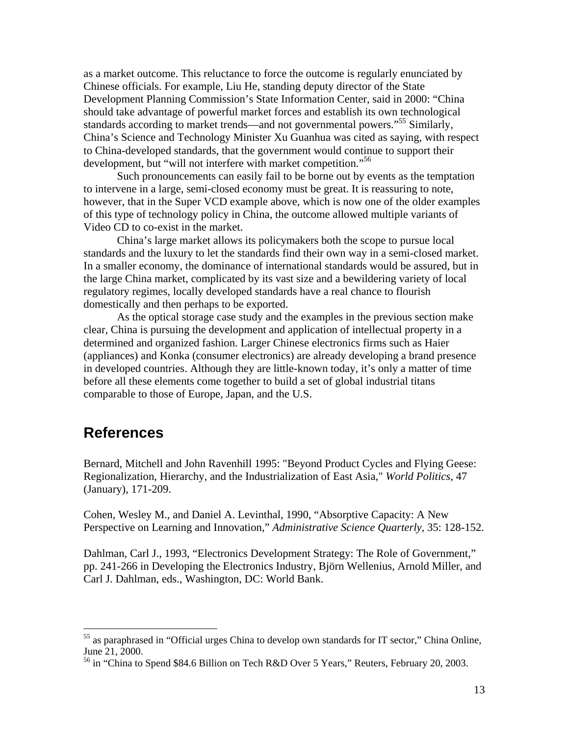as a market outcome. This reluctance to force the outcome is regularly enunciated by Chinese officials. For example, Liu He, standing deputy director of the State Development Planning Commission's State Information Center, said in 2000: "China should take advantage of powerful market forces and establish its own technological standards according to market trends—and not governmental powers."<sup>55</sup> Similarly, China's Science and Technology Minister Xu Guanhua was cited as saying, with respect to China-developed standards, that the government would continue to support their development, but "will not interfere with market competition."<sup>56</sup>

Such pronouncements can easily fail to be borne out by events as the temptation to intervene in a large, semi-closed economy must be great. It is reassuring to note, however, that in the Super VCD example above, which is now one of the older examples of this type of technology policy in China, the outcome allowed multiple variants of Video CD to co-exist in the market.

China's large market allows its policymakers both the scope to pursue local standards and the luxury to let the standards find their own way in a semi-closed market. In a smaller economy, the dominance of international standards would be assured, but in the large China market, complicated by its vast size and a bewildering variety of local regulatory regimes, locally developed standards have a real chance to flourish domestically and then perhaps to be exported.

As the optical storage case study and the examples in the previous section make clear, China is pursuing the development and application of intellectual property in a determined and organized fashion. Larger Chinese electronics firms such as Haier (appliances) and Konka (consumer electronics) are already developing a brand presence in developed countries. Although they are little-known today, it's only a matter of time before all these elements come together to build a set of global industrial titans comparable to those of Europe, Japan, and the U.S.

### **References**

 $\overline{a}$ 

Bernard, Mitchell and John Ravenhill 1995: "Beyond Product Cycles and Flying Geese: Regionalization, Hierarchy, and the Industrialization of East Asia," *World Politics*, 47 (January), 171-209.

Cohen, Wesley M., and Daniel A. Levinthal, 1990, "Absorptive Capacity: A New Perspective on Learning and Innovation," *Administrative Science Quarterly*, 35: 128-152.

Dahlman, Carl J., 1993, "Electronics Development Strategy: The Role of Government," pp. 241-266 in Developing the Electronics Industry, Björn Wellenius, Arnold Miller, and Carl J. Dahlman, eds., Washington, DC: World Bank.

<sup>&</sup>lt;sup>55</sup> as paraphrased in "Official urges China to develop own standards for IT sector," China Online, June 21, 2000.<br><sup>56</sup> in "China to Spend \$84.6 Billion on Tech R&D Over 5 Years," Reuters, February 20, 2003.